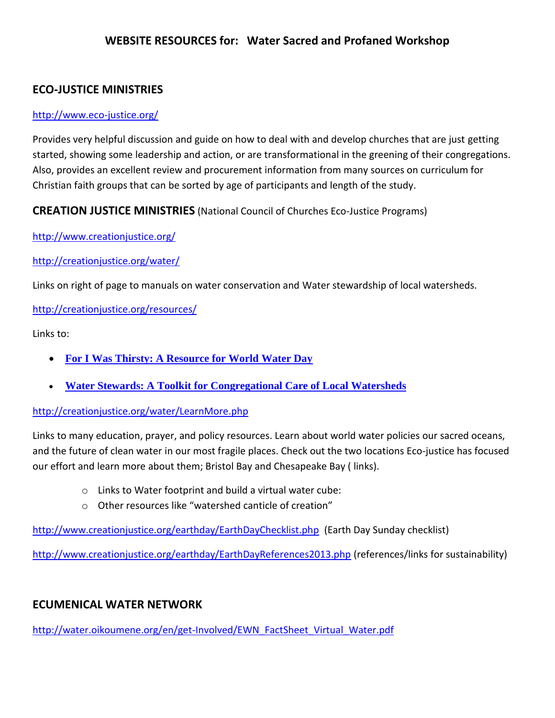## **WEBSITE RESOURCES for: Water Sacred and Profaned Workshop**

# **ECO-JUSTICE MINISTRIES**

### <http://www.eco-justice.org/>

Provides very helpful discussion and guide on how to deal with and develop churches that are just getting started, showing some leadership and action, or are transformational in the greening of their congregations. Also, provides an excellent review and procurement information from many sources on curriculum for Christian faith groups that can be sorted by age of participants and length of the study.

### **CREATION JUSTICE MINISTRIES** (National Council of Churches Eco-Justice Programs)

<http://www.creationjustice.org/>

#### <http://creationjustice.org/water/>

Links on right of page to manuals on water conservation and Water stewardship of local watersheds.

#### <http://creationjustice.org/resources/>

Links to:

- **[For I Was Thirsty: A Resource for World Water Day](https://salsa4.salsalabs.com/o/50750/signup_page/water)**
- **[Water Stewards: A Toolkit for Congregational Care of Local Watersheds](https://salsa4.salsalabs.com/o/50750/signup_page/waterstew)**

#### <http://creationjustice.org/water/LearnMore.php>

Links to many education, prayer, and policy resources. Learn about world water policies our sacred oceans, and the future of clean water in our most fragile places. Check out the two locations Eco-justice has focused our effort and learn more about them; Bristol Bay and Chesapeake Bay ( links).

- $\circ$  Links to Water footprint and build a virtual water cube:
- o Other resources like "watershed canticle of creation"

<http://www.creationjustice.org/earthday/EarthDayChecklist.php>(Earth Day Sunday checklist)

<http://www.creationjustice.org/earthday/EarthDayReferences2013.php> (references/links for sustainability)

# **ECUMENICAL WATER NETWORK**

[http://water.oikoumene.org/en/get-Involved/EWN\\_FactSheet\\_Virtual\\_Water.pdf](http://water.oikoumene.org/en/get-Involved/EWN_FactSheet_Virtual_Water.pdf)